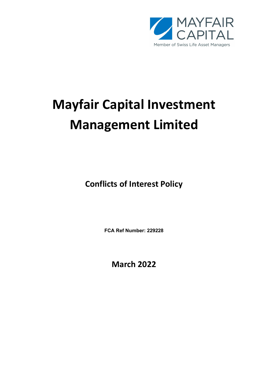

# Mayfair Capital Investment Management Limited

Conflicts of Interest Policy

FCA Ref Number: 229228

March 2022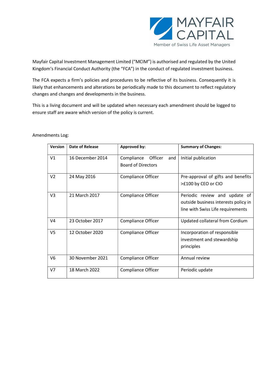

Mayfair Capital Investment Management Limited ("MCIM") is authorised and regulated by the United Kingdom's Financial Conduct Authority (the "FCA") in the conduct of regulated investment business.

The FCA expects a firm's policies and procedures to be reflective of its business. Consequently it is likely that enhancements and alterations be periodically made to this document to reflect regulatory changes and changes and developments in the business.

This is a living document and will be updated when necessary each amendment should be logged to ensure staff are aware which version of the policy is current.

| <b>Version</b> | Date of Release  | <b>Approved by:</b>                                       | <b>Summary of Changes:</b>                                                                                 |
|----------------|------------------|-----------------------------------------------------------|------------------------------------------------------------------------------------------------------------|
| V <sub>1</sub> | 16 December 2014 | Officer<br>Compliance<br>and<br><b>Board of Directors</b> | Initial publication                                                                                        |
| V <sub>2</sub> | 24 May 2016      | <b>Compliance Officer</b>                                 | Pre-approval of gifts and benefits<br>>£100 by CEO or CIO                                                  |
| V3             | 21 March 2017    | Compliance Officer                                        | Periodic review and update of<br>outside business interests policy in<br>line with Swiss Life requirements |
| V4             | 23 October 2017  | <b>Compliance Officer</b>                                 | Updated collateral from Cordium                                                                            |
| V <sub>5</sub> | 12 October 2020  | Compliance Officer                                        | Incorporation of responsible<br>investment and stewardship<br>principles                                   |
| V6             | 30 November 2021 | Compliance Officer                                        | Annual review                                                                                              |
| V <sub>7</sub> | 18 March 2022    | <b>Compliance Officer</b>                                 | Periodic update                                                                                            |

Amendments Log: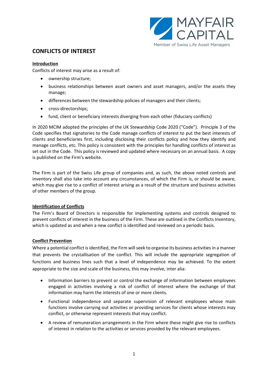

# CONFLICTS OF INTEREST

# Introduction

Conflicts of interest may arise as a result of:

- ownership structure;
- business relationships between asset owners and asset managers, and/or the assets they manage;
- differences between the stewardship policies of managers and their clients;
- cross-directorships;
- fund, client or beneficiary interests diverging from each other (fiduciary conflicts)

In 2020 MCIM adopted the principles of the UK Stewardship Code 2020 ("Code"). Principle 3 of the Code specifies that signatories to the Code manage conflicts of interest to put the best interests of clients and beneficiaries first, including disclosing their conflicts policy and how they identify and manage conflicts, etc. This policy is consistent with the principles for handling conflicts of interest as set out in the Code. This policy is reviewed and updated where necessary on an annual basis. A copy is published on the Firm's website.

The Firm is part of the Swiss Life group of companies and, as such, the above noted controls and inventory shall also take into account any circumstances, of which the Firm is, or should be aware, which may give rise to a conflict of interest arising as a result of the structure and business activities of other members of the group.

# Identification of Conflicts

The Firm's Board of Directors is responsible for implementing systems and controls designed to prevent conflicts of interest in the business of the Firm. These are outlined in the Conflicts Inventory, which is updated as and when a new conflict is identified and reviewed on a periodic basis.

# Conflict Prevention

Where a potential conflict is identified, the Firm will seek to organise its business activities in a manner that prevents the crystallisation of the conflict. This will include the appropriate segregation of functions and business lines such that a level of independence may be achieved. To the extent appropriate to the size and scale of the business, this may involve, inter alia:

- Information barriers to prevent or control the exchange of information between employees engaged in activities involving a risk of conflict of interest where the exchange of that information may harm the interests of one or more clients.
- Functional independence and separate supervision of relevant employees whose main functions involve carrying out activities or providing services for clients whose interests may conflict, or otherwise represent interests that may conflict.
- A review of remuneration arrangements in the Firm where these might give rise to conflicts of interest in relation to the activities or services provided by the relevant employees.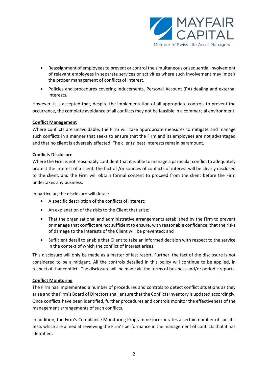

- Reassignment of employees to prevent or control the simultaneous or sequential involvement of relevant employees in separate services or activities where such involvement may impair the proper management of conflicts of interest.
- Policies and procedures covering Inducements, Personal Account (PA) dealing and external interests.

However, it is accepted that, despite the implementation of all appropriate controls to prevent the occurrence, the complete avoidance of all conflicts may not be feasible in a commercial environment.

# Conflict Management

Where conflicts are unavoidable, the Firm will take appropriate measures to mitigate and manage such conflicts in a manner that seeks to ensure that the Firm and its employees are not advantaged and that no client is adversely effected. The clients' best interests remain paramount.

# Conflicts Disclosure

Where the Firm is not reasonably confident that it is able to manage a particular conflict to adequately protect the interest of a client, the fact of /or sources of conflicts of interest will be clearly disclosed to the client, and the Firm will obtain formal consent to proceed from the client before the Firm undertakes any business.

In particular, the disclosure will detail:

- A specific description of the conflicts of interest;
- An explanation of the risks to the Client that arise;
- That the organisational and administrative arrangements established by the Firm to prevent or manage that conflict are not sufficient to ensure, with reasonable confidence, that the risks of damage to the interests of the Client will be prevented; and
- Sufficient detail to enable that Client to take an informed decision with respect to the service in the context of which the conflict of interest arises.

This disclosure will only be made as a matter of last resort. Further, the fact of the disclosure is not considered to be a mitigant. All the controls detailed in this policy will continue to be applied, in respect of that conflict. The disclosure will be made via the terms of business and/or periodic reports.

# Conflict Monitoring

The Firm has implemented a number of procedures and controls to detect conflict situations as they arise and the Firm's Board of Directors shall ensure that the Conflicts Inventory is updated accordingly. Once conflicts have been identified, further procedures and controls monitor the effectiveness of the management arrangements of such conflicts.

In addition, the Firm's Compliance Monitoring Programme incorporates a certain number of specific tests which are aimed at reviewing the Firm's performance in the management of conflicts that it has identified.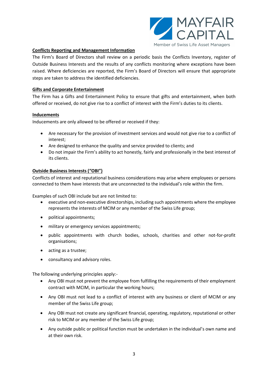

# Conflicts Reporting and Management Information

The Firm's Board of Directors shall review on a periodic basis the Conflicts Inventory, register of Outside Business Interests and the results of any conflicts monitoring where exceptions have been raised. Where deficiencies are reported, the Firm's Board of Directors will ensure that appropriate steps are taken to address the identified deficiencies.

# Gifts and Corporate Entertainment

The Firm has a Gifts and Entertainment Policy to ensure that gifts and entertainment, when both offered or received, do not give rise to a conflict of interest with the Firm's duties to its clients.

# Inducements

Inducements are only allowed to be offered or received if they:

- Are necessary for the provision of investment services and would not give rise to a conflict of interest;
- Are designed to enhance the quality and service provided to clients; and
- Do not impair the Firm's ability to act honestly, fairly and professionally in the best interest of its clients.

# Outside Business Interests ("OBI")

Conflicts of interest and reputational business considerations may arise where employees or persons connected to them have interests that are unconnected to the individual's role within the firm.

Examples of such OBI include but are not limited to:

- executive and non-executive directorships, including such appointments where the employee represents the interests of MCIM or any member of the Swiss Life group;
- political appointments;
- $\bullet$  military or emergency services appointments;
- public appointments with church bodies, schools, charities and other not-for-profit organisations;
- acting as a trustee;
- consultancy and advisory roles.

The following underlying principles apply:-

- Any OBI must not prevent the employee from fulfilling the requirements of their employment contract with MCIM, in particular the working hours;
- Any OBI must not lead to a conflict of interest with any business or client of MCIM or any member of the Swiss Life group;
- Any OBI must not create any significant financial, operating, regulatory, reputational or other risk to MCIM or any member of the Swiss Life group;
- Any outside public or political function must be undertaken in the individual's own name and at their own risk.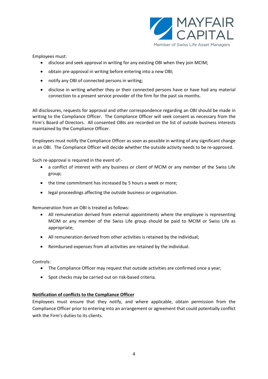

Employees must:

- disclose and seek approval in writing for any existing OBI when they join MCIM;
- obtain pre-approval in writing before entering into a new OBI;
- notify any OBI of connected persons in writing;
- disclose in writing whether they or their connected persons have or have had any material connection to a present service provider of the firm for the past six months.

All disclosures, requests for approval and other correspondence regarding an OBI should be made in writing to the Compliance Officer. The Compliance Officer will seek consent as necessary from the Firm's Board of Directors. All consented OBIs are recorded on the list of outside business interests maintained by the Compliance Officer.

Employees must notify the Compliance Officer as soon as possible in writing of any significant change in an OBI. The Compliance Officer will decide whether the outside activity needs to be re-approved.

Such re-approval is required in the event of:-

- a conflict of interest with any business or client of MCIM or any member of the Swiss Life group;
- the time commitment has increased by 5 hours a week or more;
- legal proceedings affecting the outside business or organisation.

Remuneration from an OBI is treated as follows:

- All remuneration derived from external appointments where the employee is representing MCIM or any member of the Swiss Life group should be paid to MCIM or Swiss Life as appropriate;
- All remuneration derived from other activities is retained by the individual;
- Reimbursed expenses from all activities are retained by the individual.

Controls:

- The Compliance Officer may request that outside activities are confirmed once a year;
- Spot checks may be carried out on risk-based criteria.

# Notification of conflicts to the Compliance Officer

Employees must ensure that they notify, and where applicable, obtain permission from the Compliance Officer prior to entering into an arrangement or agreement that could potentially conflict with the Firm's duties to its clients.